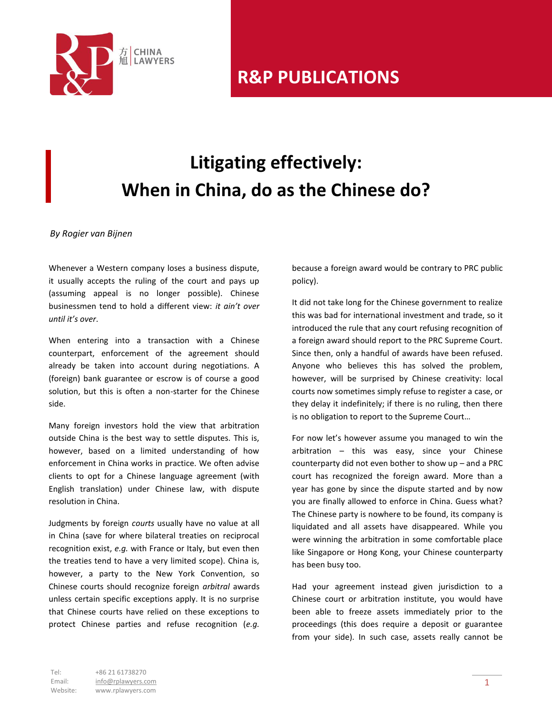

## **Litigating effectively: When in China, do as the Chinese do?**

*By Rogier van Bijnen*

Whenever a Western company loses a business dispute, it usually accepts the ruling of the court and pays up (assuming appeal is no longer possible). Chinese businessmen tend to hold a different view: *it ain't over until it's over*.

When entering into a transaction with a Chinese counterpart, enforcement of the agreement should already be taken into account during negotiations. A (foreign) bank guarantee or escrow is of course a good solution, but this is often a non-starter for the Chinese side.

Many foreign investors hold the view that arbitration outside China is the best way to settle disputes. This is, however, based on a limited understanding of how enforcement in China works in practice. We often advise clients to opt for a Chinese language agreement (with English translation) under Chinese law, with dispute resolution in China.

Judgments by foreign *courts* usually have no value at all in China (save for where bilateral treaties on reciprocal recognition exist, *e.g.* with France or Italy, but even then the treaties tend to have a very limited scope). China is, however, a party to the New York Convention, so Chinese courts should recognize foreign *arbitral* awards unless certain specific exceptions apply. It is no surprise that Chinese courts have relied on these exceptions to protect Chinese parties and refuse recognition (*e.g.* because a foreign award would be contrary to PRC public policy).

It did not take long for the Chinese government to realize this was bad for international investment and trade, so it introduced the rule that any court refusing recognition of a foreign award should report to the PRC Supreme Court. Since then, only a handful of awards have been refused. Anyone who believes this has solved the problem, however, will be surprised by Chinese creativity: local courts now sometimes simply refuse to register a case, or they delay it indefinitely; if there is no ruling, then there is no obligation to report to the Supreme Court…

For now let's however assume you managed to win the arbitration – this was easy, since your Chinese counterparty did not even bother to show up – and a PRC court has recognized the foreign award. More than a year has gone by since the dispute started and by now you are finally allowed to enforce in China. Guess what? The Chinese party is nowhere to be found, its company is liquidated and all assets have disappeared. While you were winning the arbitration in some comfortable place like Singapore or Hong Kong, your Chinese counterparty has been busy too.

Had your agreement instead given jurisdiction to a Chinese court or arbitration institute, you would have been able to freeze assets immediately prior to the proceedings (this does require a deposit or guarantee from your side). In such case, assets really cannot be

Tel: +86 21 61738270 Email: info@rplawyers.com Website: www.rplawyers.com